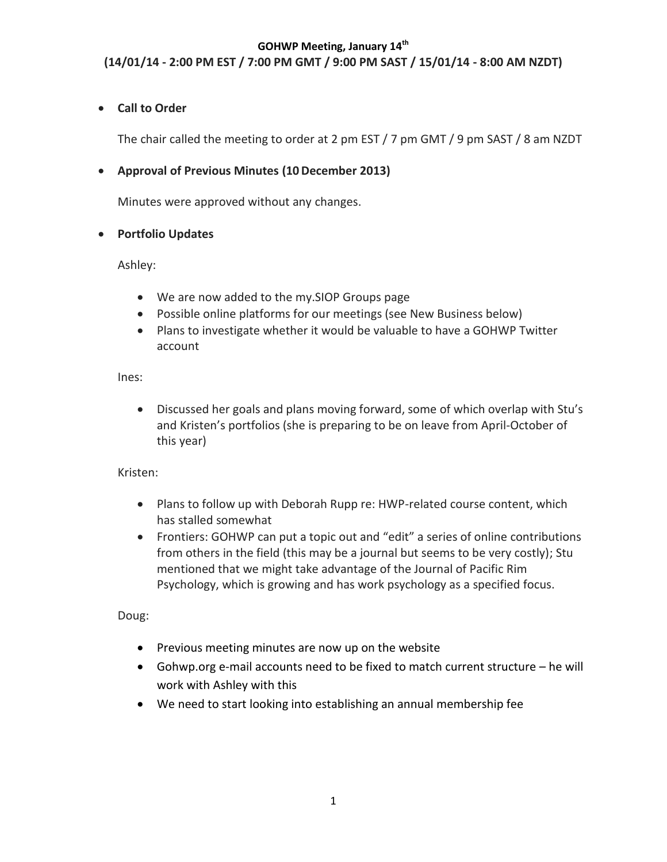#### **GOHWP Meeting, January 14th (14/01/14 - 2:00 PM EST / 7:00 PM GMT / 9:00 PM SAST / 15/01/14 - 8:00 AM NZDT)**

## **Call to Order**

The chair called the meeting to order at 2 pm EST / 7 pm GMT / 9 pm SAST / 8 am NZDT

### **Approval of Previous Minutes (10December 2013)**

Minutes were approved without any changes.

#### **Portfolio Updates**

Ashley:

- We are now added to the my.SIOP Groups page
- Possible online platforms for our meetings (see New Business below)
- Plans to investigate whether it would be valuable to have a GOHWP Twitter account

Ines:

 Discussed her goals and plans moving forward, some of which overlap with Stu's and Kristen's portfolios (she is preparing to be on leave from April-October of this year)

#### Kristen:

- Plans to follow up with Deborah Rupp re: HWP-related course content, which has stalled somewhat
- Frontiers: GOHWP can put a topic out and "edit" a series of online contributions from others in the field (this may be a journal but seems to be very costly); Stu mentioned that we might take advantage of the Journal of Pacific Rim Psychology, which is growing and has work psychology as a specified focus.

Doug:

- Previous meeting minutes are now up on the website
- Gohwp.org e-mail accounts need to be fixed to match current structure he will work with Ashley with this
- We need to start looking into establishing an annual membership fee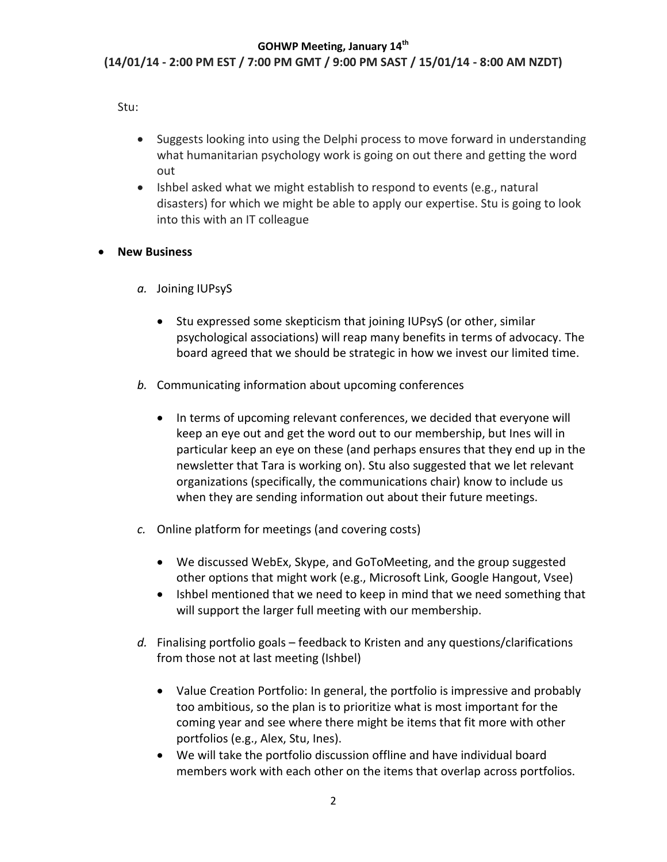# **(14/01/14 - 2:00 PM EST / 7:00 PM GMT / 9:00 PM SAST / 15/01/14 - 8:00 AM NZDT)**

Stu:

- Suggests looking into using the Delphi process to move forward in understanding what humanitarian psychology work is going on out there and getting the word out
- Ishbel asked what we might establish to respond to events (e.g., natural disasters) for which we might be able to apply our expertise. Stu is going to look into this with an IT colleague

#### **New Business**

- *a.* Joining IUPsyS
	- Stu expressed some skepticism that joining IUPsyS (or other, similar psychological associations) will reap many benefits in terms of advocacy. The board agreed that we should be strategic in how we invest our limited time.
- *b.* Communicating information about upcoming conferences
	- In terms of upcoming relevant conferences, we decided that everyone will keep an eye out and get the word out to our membership, but Ines will in particular keep an eye on these (and perhaps ensures that they end up in the newsletter that Tara is working on). Stu also suggested that we let relevant organizations (specifically, the communications chair) know to include us when they are sending information out about their future meetings.
- *c.* Online platform for meetings (and covering costs)
	- We discussed WebEx, Skype, and GoToMeeting, and the group suggested other options that might work (e.g., Microsoft Link, Google Hangout, Vsee)
	- Ishbel mentioned that we need to keep in mind that we need something that will support the larger full meeting with our membership.
- *d.* Finalising portfolio goals feedback to Kristen and any questions/clarifications from those not at last meeting (Ishbel)
	- Value Creation Portfolio: In general, the portfolio is impressive and probably too ambitious, so the plan is to prioritize what is most important for the coming year and see where there might be items that fit more with other portfolios (e.g., Alex, Stu, Ines).
	- We will take the portfolio discussion offline and have individual board members work with each other on the items that overlap across portfolios.